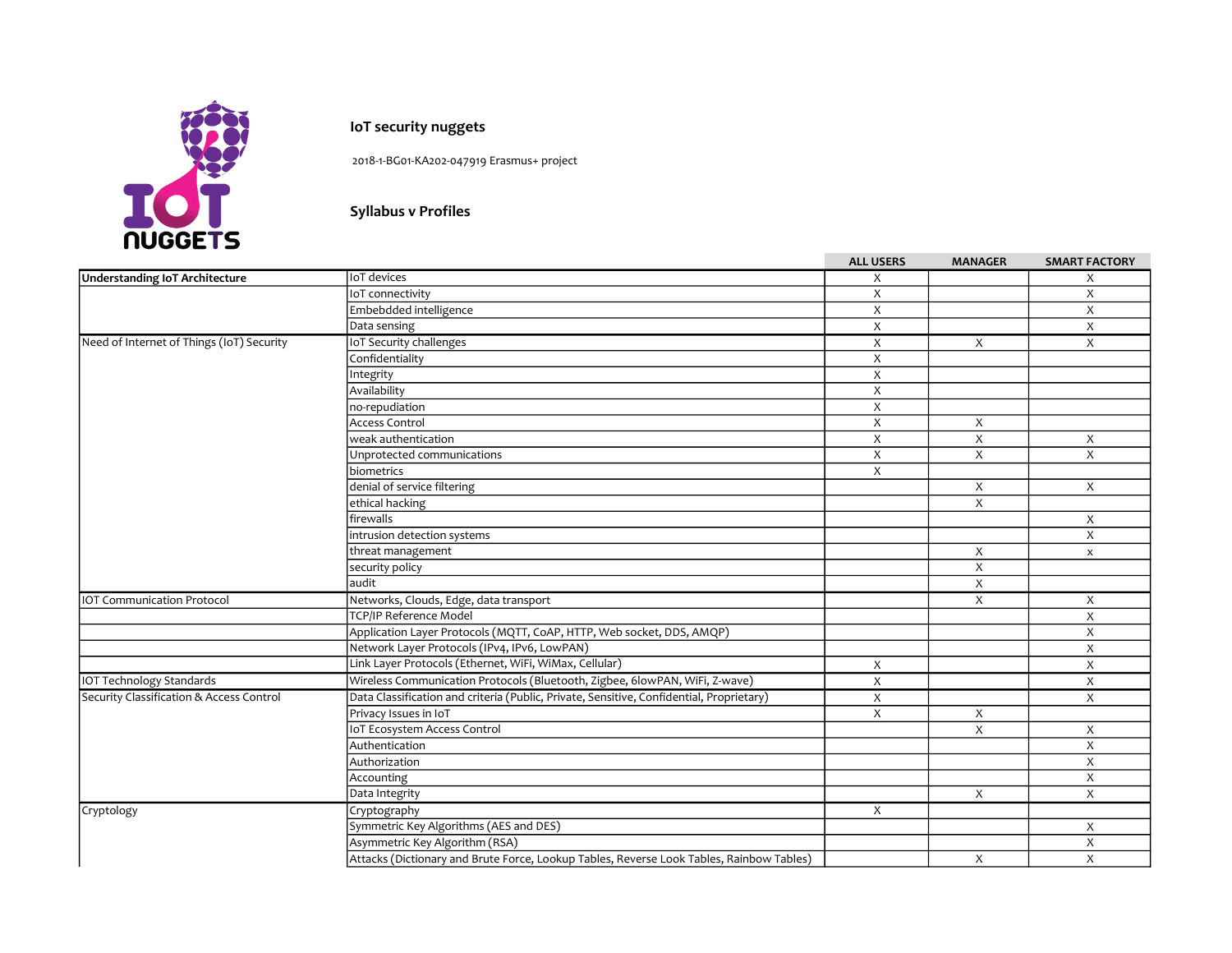

## IoT security nuggets

2018-1-BG01-KA202-047919 Erasmus+ project

## Syllabus v Profiles

|                                           |                                                                                          | <b>ALL USERS</b>          | <b>MANAGER</b>            | <b>SMART FACTORY</b>      |
|-------------------------------------------|------------------------------------------------------------------------------------------|---------------------------|---------------------------|---------------------------|
| Understanding IoT Architecture            | IoT devices                                                                              | X                         |                           | X                         |
|                                           | IoT connectivity                                                                         | X                         |                           | X                         |
|                                           | Embebdded intelligence                                                                   | $\mathsf X$               |                           | X                         |
|                                           | Data sensing                                                                             | X                         |                           | X                         |
| Need of Internet of Things (IoT) Security | <b>IoT Security challenges</b>                                                           | $\overline{X}$            | $\boldsymbol{\mathsf{X}}$ | X                         |
|                                           | Confidentiality                                                                          | X                         |                           |                           |
|                                           | Integrity                                                                                | X                         |                           |                           |
|                                           | Availability                                                                             | $\boldsymbol{\mathsf{X}}$ |                           |                           |
|                                           | no-repudiation                                                                           | X                         |                           |                           |
|                                           | <b>Access Control</b>                                                                    | X                         | $\boldsymbol{\mathsf{X}}$ |                           |
|                                           | weak authentication                                                                      | X                         | X                         | X                         |
|                                           | Unprotected communications                                                               | X                         | X                         | X                         |
|                                           | biometrics                                                                               | X                         |                           |                           |
|                                           | denial of service filtering                                                              |                           | X                         | X                         |
|                                           | ethical hacking                                                                          |                           | X                         |                           |
|                                           | firewalls                                                                                |                           |                           | $\boldsymbol{\mathsf{X}}$ |
|                                           | intrusion detection systems                                                              |                           |                           | X                         |
|                                           | threat management                                                                        |                           | X                         | $\boldsymbol{\mathsf{x}}$ |
|                                           | security policy                                                                          |                           | Χ                         |                           |
|                                           | laudit                                                                                   |                           | X                         |                           |
| <b>IOT Communication Protocol</b>         | Networks, Clouds, Edge, data transport                                                   |                           | X                         | X                         |
|                                           | <b>TCP/IP Reference Model</b>                                                            |                           |                           | X                         |
|                                           | Application Layer Protocols (MQTT, CoAP, HTTP, Web socket, DDS, AMQP)                    |                           |                           | X                         |
|                                           | Network Layer Protocols (IPv4, IPv6, LowPAN)                                             |                           |                           | X                         |
|                                           | Link Layer Protocols (Ethernet, WiFi, WiMax, Cellular)                                   | X                         |                           | X                         |
| <b>IOT Technology Standards</b>           | Wireless Communication Protocols (Bluetooth, Zigbee, 6lowPAN, WiFi, Z-wave)              | X                         |                           | X                         |
| Security Classification & Access Control  | Data Classification and criteria (Public, Private, Sensitive, Confidential, Proprietary) | X                         |                           | X                         |
|                                           | Privacy Issues in IoT                                                                    | X                         | Χ                         |                           |
|                                           | IoT Ecosystem Access Control                                                             |                           | X                         | X                         |
|                                           | Authentication                                                                           |                           |                           | X                         |
|                                           | Authorization                                                                            |                           |                           | X                         |
|                                           | Accounting                                                                               |                           |                           | X                         |
|                                           | Data Integrity                                                                           |                           | X                         | X                         |
| Cryptology                                | Cryptography                                                                             | X                         |                           |                           |
|                                           | Symmetric Key Algorithms (AES and DES)                                                   |                           |                           | X                         |
|                                           | Asymmetric Key Algorithm (RSA)                                                           |                           |                           | X                         |
|                                           | Attacks (Dictionary and Brute Force, Lookup Tables, Reverse Look Tables, Rainbow Tables) |                           | X                         | X                         |